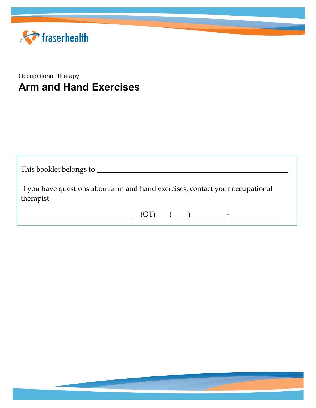

### Occupational Therapy **Arm and Hand Exercises**

| This booklet belongs to                                                                     |
|---------------------------------------------------------------------------------------------|
| If you have questions about arm and hand exercises, contact your occupational<br>therapist. |
| (O <sub>L</sub> )<br>$\begin{pmatrix} 1 & 1 \\ 1 & 1 \end{pmatrix}$                         |

1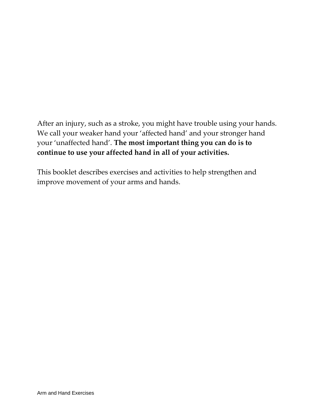After an injury, such as a stroke, you might have trouble using your hands. We call your weaker hand your 'affected hand' and your stronger hand your 'unaffected hand'. **The most important thing you can do is to continue to use your affected hand in all of your activities.**

This booklet describes exercises and activities to help strengthen and improve movement of your arms and hands.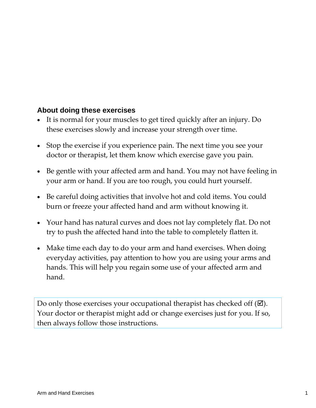### **About doing these exercises**

- It is normal for your muscles to get tired quickly after an injury. Do these exercises slowly and increase your strength over time.
- Stop the exercise if you experience pain. The next time you see your doctor or therapist, let them know which exercise gave you pain.
- Be gentle with your affected arm and hand. You may not have feeling in your arm or hand. If you are too rough, you could hurt yourself.
- Be careful doing activities that involve hot and cold items. You could burn or freeze your affected hand and arm without knowing it.
- Your hand has natural curves and does not lay completely flat. Do not try to push the affected hand into the table to completely flatten it.
- Make time each day to do your arm and hand exercises. When doing everyday activities, pay attention to how you are using your arms and hands. This will help you regain some use of your affected arm and hand.

Do only those exercises your occupational therapist has checked off  $(\boxtimes)$ . Your doctor or therapist might add or change exercises just for you. If so, then always follow those instructions.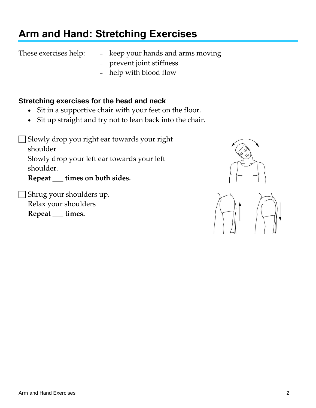# **Arm and Hand: Stretching Exercises**

These exercises help:  $\qquad$  - keep your hands and arms moving

- prevent joint stiffness
- help with blood flow

### **Stretching exercises for the head and neck**

- Sit in a supportive chair with your feet on the floor.
- Sit up straight and try not to lean back into the chair.

 Slowly drop you right ear towards your right shoulder Slowly drop your left ear towards your left shoulder. **Repeat \_\_\_ times on both sides.**

 Shrug your shoulders up. Relax your shoulders **Repeat \_\_\_ times.**



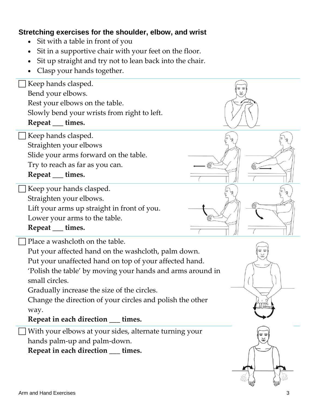### **Stretching exercises for the shoulder, elbow, and wrist**

- Sit with a table in front of you
- Sit in a supportive chair with your feet on the floor.
- Sit up straight and try not to lean back into the chair.
- Clasp your hands together.

 Keep hands clasped. Bend your elbows. Rest your elbows on the table. Slowly bend your wrists from right to left. **Repeat \_\_\_ times.** Keep hands clasped. Straighten your elbows Slide your arms forward on the table. Try to reach as far as you can. **Repeat \_\_\_ times.** Keep your hands clasped. Straighten your elbows. Lift your arms up straight in front of you. Lower your arms to the table. **Repeat \_\_\_ times.** Place a washcloth on the table. Put your affected hand on the washcloth, palm down. Put your unaffected hand on top of your affected hand. 'Polish the table' by moving your hands and arms around in small circles. Gradually increase the size of the circles. Change the direction of your circles and polish the other way. **Repeat in each direction \_\_\_ times.** With your elbows at your sides, alternate turning your hands palm-up and palm-down. **Repeat in each direction \_\_\_ times.**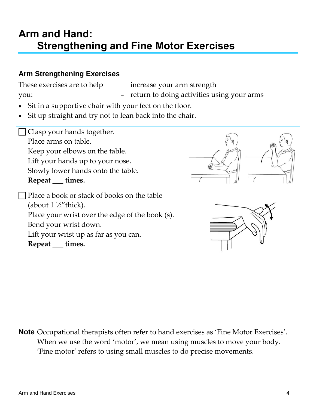### **Arm and Hand: Strengthening and Fine Motor Exercises**

#### **Arm Strengthening Exercises**

These exercises are to help

increase your arm strength

you:

- return to doing activities using your arms
- Sit in a supportive chair with your feet on the floor.
- Sit up straight and try not to lean back into the chair.

□ Clasp your hands together. Place arms on table. Keep your elbows on the table. Lift your hands up to your nose. Slowly lower hands onto the table. **Repeat \_\_\_ times.**



 Place a book or stack of books on the table (about  $1\frac{1}{2}$ "thick). Place your wrist over the edge of the book (s). Bend your wrist down. Lift your wrist up as far as you can. **Repeat \_\_\_ times.**



**Note** Occupational therapists often refer to hand exercises as 'Fine Motor Exercises'. When we use the word 'motor', we mean using muscles to move your body. 'Fine motor' refers to using small muscles to do precise movements.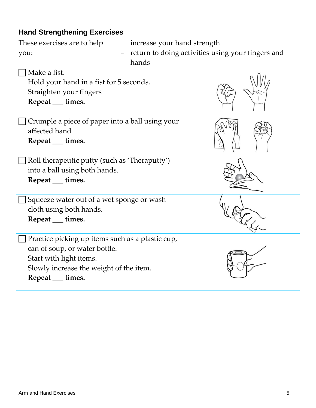### **Hand Strengthening Exercises**

| These exercises are to help                                    | - increase your hand strength                                |  |
|----------------------------------------------------------------|--------------------------------------------------------------|--|
| you:                                                           | - return to doing activities using your fingers and<br>hands |  |
| $\Box$ Make a fist.<br>Hold your hand in a fist for 5 seconds. |                                                              |  |

Straighten your fingers **Repeat \_\_\_ times.**

 Crumple a piece of paper into a ball using your affected hand **Repeat \_\_\_ times.**

 Roll therapeutic putty (such as 'Theraputty') into a ball using both hands.

**Repeat \_\_\_ times.**

 Squeeze water out of a wet sponge or wash cloth using both hands.

**Repeat \_\_\_ times.**

 Practice picking up items such as a plastic cup, can of soup, or water bottle. Start with light items. Slowly increase the weight of the item.

**Repeat \_\_\_ times.**







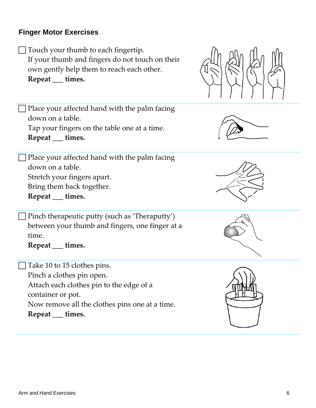#### **Finger Motor Exercises**

 Touch your thumb to each fingertip. If your thumb and fingers do not touch on their own gently help them to reach each other. **Repeat \_\_\_ times.**



 $\Box$  Place your affected hand with the palm facing down on a table. Tap your fingers on the table one at a time. **Repeat \_\_\_ times.**

 $\Box$  Place your affected hand with the palm facing down on a table. Stretch your fingers apart. Bring them back together. **Repeat \_\_\_ times.**

 Pinch therapeutic putty (such as 'Theraputty') between your thumb and fingers, one finger at a time.

**Repeat \_\_\_ times.**

Take 10 to 15 clothes pins. Pinch a clothes pin open. Attach each clothes pin to the edge of a container or pot. Now remove all the clothes pins one at a time. **Repeat \_\_\_ times.**







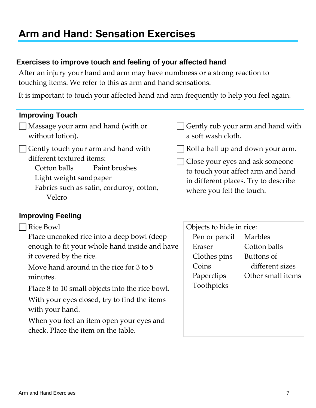# **Arm and Hand: Sensation Exercises**

### **Exercises to improve touch and feeling of your affected hand**

After an injury your hand and arm may have numbness or a strong reaction to touching items. We refer to this as arm and hand sensations.

It is important to touch your affected hand and arm frequently to help you feel again.

#### **Improving Touch**

- Massage your arm and hand (with or without lotion).
- $\Box$  Gently touch your arm and hand with different textured items:
	- Cotton balls Paint brushes
	- Light weight sandpaper
	- Fabrics such as satin, corduroy, cotton, Velcro

#### $\Box$  Gently rub your arm and hand with a soft wash cloth.

- $\Box$  Roll a ball up and down your arm.
	- Close your eyes and ask someone to touch your affect arm and hand in different places. Try to describe where you felt the touch.

#### **Improving Feeling**

| Rice Bowl                                                                       | Objects to hide in rice: |                   |
|---------------------------------------------------------------------------------|--------------------------|-------------------|
| Place uncooked rice into a deep bowl (deep                                      | Pen or pencil            | Marbles           |
| enough to fit your whole hand inside and have                                   | Eraser                   | Cotton balls      |
| it covered by the rice.                                                         | Clothes pins             | Buttons of        |
| Move hand around in the rice for 3 to 5                                         | Coins                    | different sizes   |
| minutes.                                                                        | Paperclips               | Other small items |
| Place 8 to 10 small objects into the rice bowl.                                 | Toothpicks               |                   |
| With your eyes closed, try to find the items<br>with your hand.                 |                          |                   |
| When you feel an item open your eyes and<br>check. Place the item on the table. |                          |                   |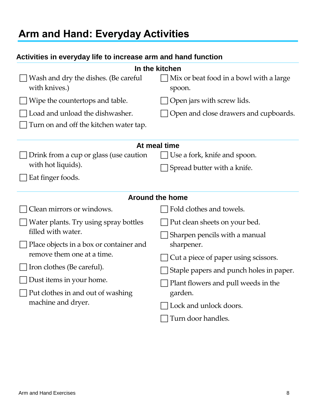# **Arm and Hand: Everyday Activities**

### **Activities in everyday life to increase arm and hand function**

| In the kitchen                                        |                                                                                |  |  |  |
|-------------------------------------------------------|--------------------------------------------------------------------------------|--|--|--|
| Wash and dry the dishes. (Be careful<br>with knives.) | Mix or beat food in a bowl with a large<br>spoon.                              |  |  |  |
| Wipe the countertops and table.                       | Open jars with screw lids.                                                     |  |  |  |
| Load and unload the dishwasher.                       | Open and close drawers and cupboards.                                          |  |  |  |
| Turn on and off the kitchen water tap.                |                                                                                |  |  |  |
| At meal time                                          |                                                                                |  |  |  |
| Drink from a cup or glass (use caution                | Use a fork, knife and spoon.                                                   |  |  |  |
| with hot liquids).                                    | Spread butter with a knife.                                                    |  |  |  |
| Eat finger foods.                                     |                                                                                |  |  |  |
| <b>Around the home</b>                                |                                                                                |  |  |  |
| Clean mirrors or windows.                             | Fold clothes and towels.                                                       |  |  |  |
| Water plants. Try using spray bottles                 | Put clean sheets on your bed.                                                  |  |  |  |
| filled with water.                                    | Sharpen pencils with a manual                                                  |  |  |  |
| Place objects in a box or container and               | sharpener.                                                                     |  |  |  |
| remove them one at a time.                            | Cut a piece of paper using scissors.                                           |  |  |  |
| Iron clothes (Be careful).                            | Staple papers and punch holes in paper.<br>Plant flowers and pull weeds in the |  |  |  |
| Dust items in your home.                              |                                                                                |  |  |  |
| Put clothes in and out of washing                     | garden.                                                                        |  |  |  |
| machine and dryer.                                    | Lock and unlock doors.                                                         |  |  |  |
|                                                       | Turn door handles.                                                             |  |  |  |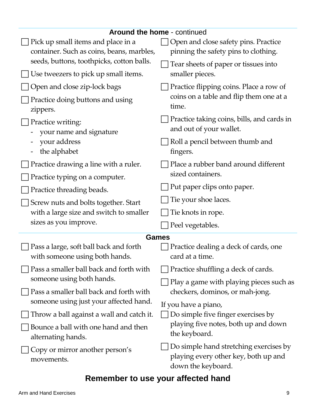| <b>Around the home - continued</b>                                       |                                                                                                      |  |  |
|--------------------------------------------------------------------------|------------------------------------------------------------------------------------------------------|--|--|
| Pick up small items and place in a                                       | Open and close safety pins. Practice                                                                 |  |  |
| container. Such as coins, beans, marbles,                                | pinning the safety pins to clothing.                                                                 |  |  |
| seeds, buttons, toothpicks, cotton balls.                                | Tear sheets of paper or tissues into                                                                 |  |  |
| Use tweezers to pick up small items.                                     | smaller pieces.                                                                                      |  |  |
| Open and close zip-lock bags                                             | Practice flipping coins. Place a row of                                                              |  |  |
| Practice doing buttons and using<br>zippers.                             | coins on a table and flip them one at a<br>time.                                                     |  |  |
| Practice writing:<br>your name and signature                             | Practice taking coins, bills, and cards in<br>and out of your wallet.                                |  |  |
| your address<br>the alphabet                                             | Roll a pencil between thumb and<br>fingers.                                                          |  |  |
| Practice drawing a line with a ruler.                                    | Place a rubber band around different                                                                 |  |  |
| Practice typing on a computer.                                           | sized containers.                                                                                    |  |  |
| Practice threading beads.                                                | Put paper clips onto paper.                                                                          |  |  |
| Screw nuts and bolts together. Start                                     | Tie your shoe laces.                                                                                 |  |  |
| with a large size and switch to smaller                                  | Tie knots in rope.                                                                                   |  |  |
| sizes as you improve.                                                    | Peel vegetables.                                                                                     |  |  |
| <b>Games</b>                                                             |                                                                                                      |  |  |
| Pass a large, soft ball back and forth<br>with someone using both hands. | Practice dealing a deck of cards, one<br>card at a time.                                             |  |  |
| Pass a smaller ball back and forth with                                  | Practice shuffling a deck of cards.                                                                  |  |  |
| someone using both hands.                                                | Play a game with playing pieces such as                                                              |  |  |
| Pass a smaller ball back and forth with                                  | checkers, dominos, or mah-jong.                                                                      |  |  |
| someone using just your affected hand.                                   | If you have a piano,                                                                                 |  |  |
| Throw a ball against a wall and catch it.                                | Do simple five finger exercises by<br>playing five notes, both up and down<br>the keyboard.          |  |  |
| Bounce a ball with one hand and then<br>alternating hands.               |                                                                                                      |  |  |
| Copy or mirror another person's<br>movements.                            | Do simple hand stretching exercises by<br>playing every other key, both up and<br>down the keyboard. |  |  |

## **Remember to use your affected hand**